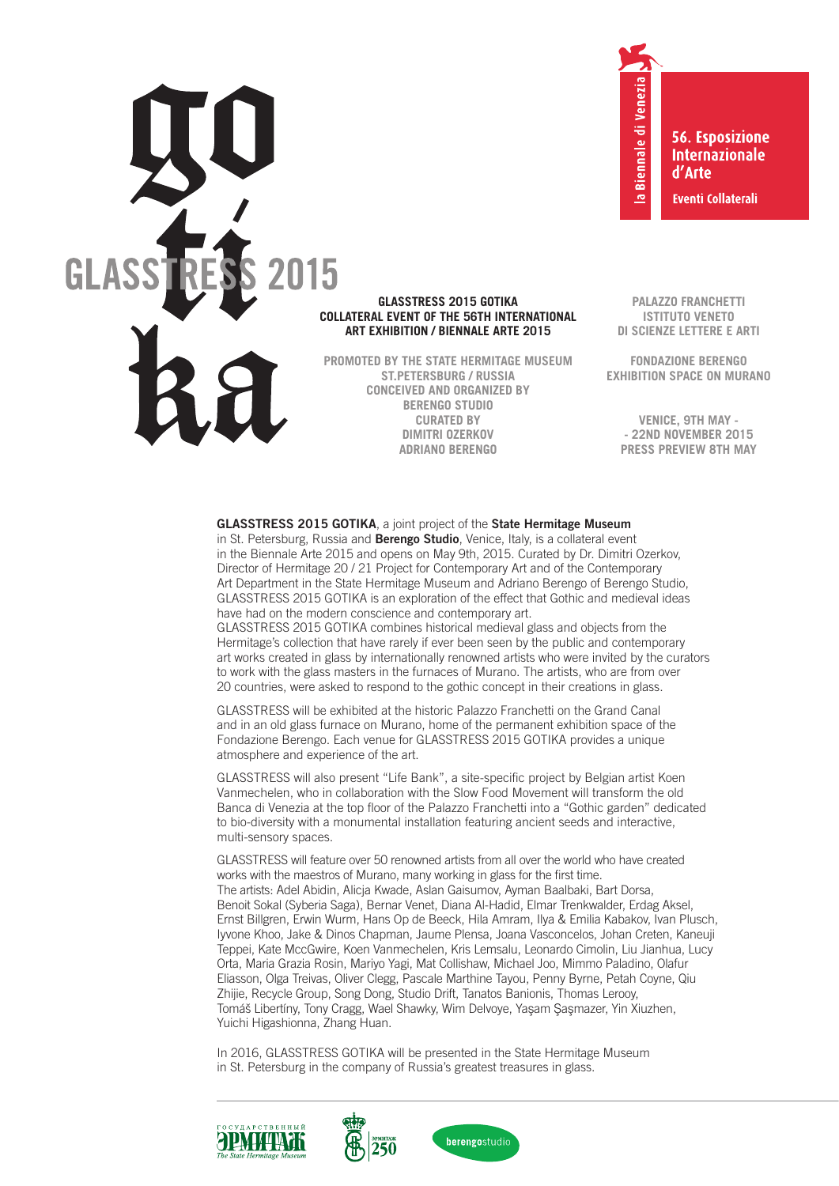

# **GLASSTRESS 2015 GOTIKA COLLATERAL EVENT OF THE 56TH INTERNATIONAL ART EXHIBITION / BIENNALE ARTE 2015**

**PROMOTED BY THE STATE HERMITAGE MUSEUM ST.PETERSBURG / RUSSIA CONCEIVED AND ORGANIZED BY BERENGO STUDIO CURATED BY DIMITRI OZERKOV ADRIANO BERENGO**

**56. Esposizione Internazionale** d'Arte **Eventi Collaterali** 

**PALAZZO FRANCHETTI**

la Biennale di Venezia

**ISTITUTO VENETO DI SCIENZE LETTERE E ARTI**

**FONDAZIONE BERENGO EXHIBITION SPACE ON MURANO**

**VENICE, 9TH MAY - - 22ND NOVEMBER 2015 PRESS PREVIEW 8TH MAY**

## **GLASSTRESS 2015 GOTIKA**, a joint project of the **State Hermitage Museum**

in St. Petersburg, Russia and **Berengo Studio**, Venice, Italy, is a collateral event in the Biennale Arte 2015 and opens on May 9th, 2015. Curated by Dr. Dimitri Ozerkov, Director of Hermitage 20 / 21 Project for Contemporary Art and of the Contemporary Art Department in the State Hermitage Museum and Adriano Berengo of Berengo Studio, GLASSTRESS 2015 GOTIKA is an exploration of the effect that Gothic and medieval ideas have had on the modern conscience and contemporary art.

GLASSTRESS 2015 GOTIKA combines historical medieval glass and objects from the Hermitage's collection that have rarely if ever been seen by the public and contemporary art works created in glass by internationally renowned artists who were invited by the curators to work with the glass masters in the furnaces of Murano. The artists, who are from over 20 countries, were asked to respond to the gothic concept in their creations in glass.

GLASSTRESS will be exhibited at the historic Palazzo Franchetti on the Grand Canal and in an old glass furnace on Murano, home of the permanent exhibition space of the Fondazione Berengo. Each venue for GLASSTRESS 2015 GOTIKA provides a unique atmosphere and experience of the art.

GLASSTRESS will also present "Life Bank", a site-specific project by Belgian artist Koen Vanmechelen, who in collaboration with the Slow Food Movement will transform the old Banca di Venezia at the top floor of the Palazzo Franchetti into a "Gothic garden" dedicated to bio-diversity with a monumental installation featuring ancient seeds and interactive, multi-sensory spaces.

GLASSTRESS will feature over 50 renowned artists from all over the world who have created works with the maestros of Murano, many working in glass for the first time. The artists: Adel Abidin, Alicja Kwade, Aslan Gaisumov, Ayman Baalbaki, Bart Dorsa, Benoit Sokal (Syberia Saga), Bernar Venet, Diana Al-Hadid, Elmar Trenkwalder, Erdag Aksel, Ernst Billgren, Erwin Wurm, Hans Op de Beeck, Hila Amram, Ilya & Emilia Kabakov, Ivan Plusch, Iyvone Khoo, Jake & Dinos Chapman, Jaume Plensa, Joana Vasconcelos, Johan Creten, Kaneuji Teppei, Kate MccGwire, Koen Vanmechelen, Kris Lemsalu, Leonardo Cimolin, Liu Jianhua, Lucy Orta, Maria Grazia Rosin, Mariyo Yagi, Mat Collishaw, Michael Joo, Mimmo Paladino, Olafur Eliasson, Olga Treivas, Oliver Clegg, Pascale Marthine Tayou, Penny Byrne, Petah Coyne, Qiu Zhijie, Recycle Group, Song Dong, Studio Drift, Tanatos Banionis, Thomas Lerooy, Tomáš Libertíny, Tony Cragg, Wael Shawky, Wim Delvoye, Yaşam Şaşmazer, Yin Xiuzhen, Yuichi Higashionna, Zhang Huan.

In 2016, GLASSTRESS GOTIKA will be presented in the State Hermitage Museum in St. Petersburg in the company of Russia's greatest treasures in glass.





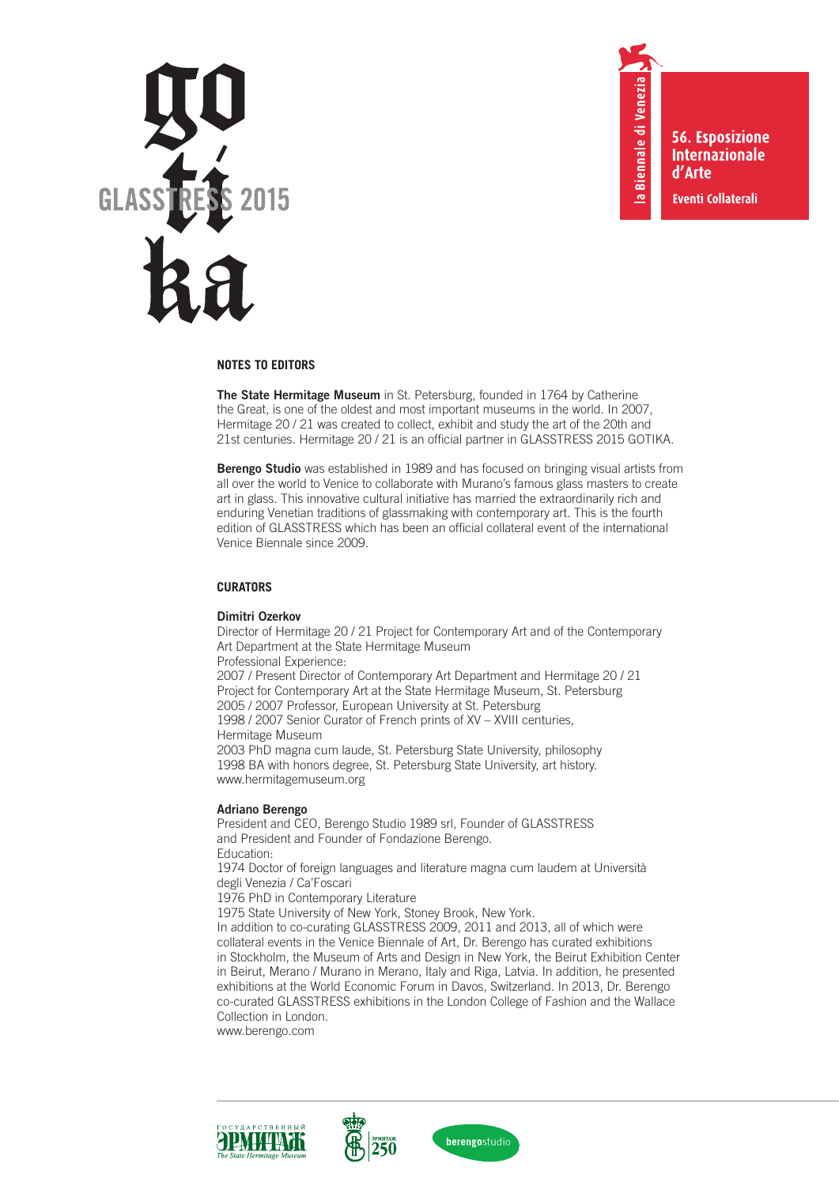

**56. Esposizione Internazionale** d'Arte **Eventi Collaterali** 

la Biennale di Venezia

# **NOTES TO EDITORS**

**The State Hermitage Museum** in St. Petersburg, founded in 1764 by Catherine the Great, is one of the oldest and most important museums in the world. In 2007, Hermitage 20 / 21 was created to collect, exhibit and study the art of the 20th and 21st centuries. Hermitage 20 / 21 is an official partner in GLASSTRESS 2015 GOTIKA.

**Berengo Studio** was established in 1989 and has focused on bringing visual artists from all over the world to Venice to collaborate with Murano's famous glass masters to create art in glass. This innovative cultural initiative has married the extraordinarily rich and enduring Venetian traditions of glassmaking with contemporary art. This is the fourth edition of GLASSTRESS which has been an official collateral event of the international Venice Biennale since 2009.

# **CURATORS**

#### **Dimitri Ozerkov**

Director of Hermitage 20 / 21 Project for Contemporary Art and of the Contemporary Art Department at the State Hermitage Museum Professional Experience: 2007 / Present Director of Contemporary Art Department and Hermitage 20 / 21 Project for Contemporary Art at the State Hermitage Museum, St. Petersburg 2005 / 2007 Professor, European University at St. Petersburg 1998 / 2007 Senior Curator of French prints of XV – XVIII centuries, Hermitage Museum 2003 PhD magna cum laude, St. Petersburg State University, philosophy 1998 BA with honors degree, St. Petersburg State University, art history. www.hermitagemuseum.org

# **Adriano Berengo**

President and CEO, Berengo Studio 1989 srl, Founder of GLASSTRESS and President and Founder of Fondazione Berengo. Education: 1974 Doctor of foreign languages and literature magna cum laudem at Università

degli Venezia / Ca'Foscari

1976 PhD in Contemporary Literature

1975 State University of New York, Stoney Brook, New York.

In addition to co-curating GLASSTRESS 2009, 2011 and 2013, all of which were collateral events in the Venice Biennale of Art, Dr. Berengo has curated exhibitions in Stockholm, the Museum of Arts and Design in New York, the Beirut Exhibition Center in Beirut, Merano / Murano in Merano, Italy and Riga, Latvia. In addition, he presented exhibitions at the World Economic Forum in Davos, Switzerland. In 2013, Dr. Berengo co-curated GLASSTRESS exhibitions in the London College of Fashion and the Wallace Collection in London.

www.berengo.com